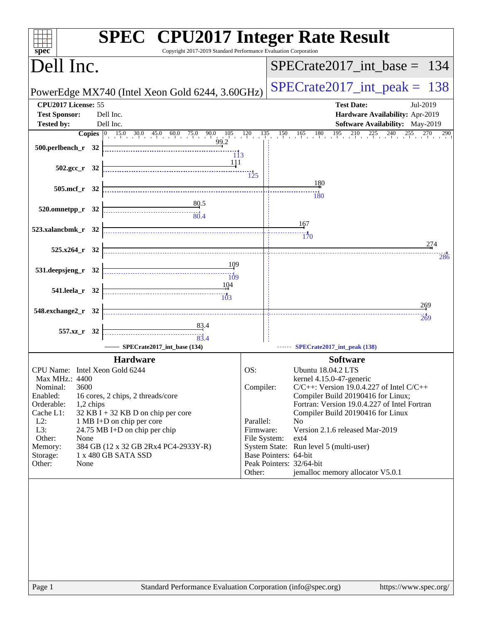| Copyright 2017-2019 Standard Performance Evaluation Corporation<br>spec <sup>®</sup>                                                                                                                                                                                                                                                                                                                                  | <b>SPEC<sup>®</sup></b> CPU2017 Integer Rate Result                                                                                                                                                                                                                                                                                                                                                                                                                                    |
|-----------------------------------------------------------------------------------------------------------------------------------------------------------------------------------------------------------------------------------------------------------------------------------------------------------------------------------------------------------------------------------------------------------------------|----------------------------------------------------------------------------------------------------------------------------------------------------------------------------------------------------------------------------------------------------------------------------------------------------------------------------------------------------------------------------------------------------------------------------------------------------------------------------------------|
| Dell Inc.                                                                                                                                                                                                                                                                                                                                                                                                             | $SPECTate2017\_int\_base = 134$                                                                                                                                                                                                                                                                                                                                                                                                                                                        |
| PowerEdge MX740 (Intel Xeon Gold 6244, 3.60GHz)                                                                                                                                                                                                                                                                                                                                                                       | $SPECrate2017\_int\_peak = 138$                                                                                                                                                                                                                                                                                                                                                                                                                                                        |
| CPU2017 License: 55<br><b>Test Sponsor:</b><br>Dell Inc.                                                                                                                                                                                                                                                                                                                                                              | <b>Test Date:</b><br>Jul-2019<br>Hardware Availability: Apr-2019                                                                                                                                                                                                                                                                                                                                                                                                                       |
| <b>Tested by:</b><br>Dell Inc.                                                                                                                                                                                                                                                                                                                                                                                        | Software Availability: May-2019                                                                                                                                                                                                                                                                                                                                                                                                                                                        |
| <b>Copies</b> $\begin{bmatrix} 0 & 15.0 & 30.0 & 45.0 & 60.0 & 75.0 & 90.0 & 105 & 120 & 135 & 150 & 165 & 180 & 195 & 210 \ 99.2 & & & & & \end{bmatrix}$<br>$500.$ perlbench_r 32<br>113<br><u>111</u>                                                                                                                                                                                                              | $225 \t 240$<br>255<br>290                                                                                                                                                                                                                                                                                                                                                                                                                                                             |
| $502.\text{gcc r}$ 32                                                                                                                                                                                                                                                                                                                                                                                                 |                                                                                                                                                                                                                                                                                                                                                                                                                                                                                        |
| 505.mcf_r 32                                                                                                                                                                                                                                                                                                                                                                                                          | 180<br>$\overline{180}$                                                                                                                                                                                                                                                                                                                                                                                                                                                                |
| 80.5<br>$520.0$ mnetpp_r $32$<br>$\frac{1}{80.4}$                                                                                                                                                                                                                                                                                                                                                                     |                                                                                                                                                                                                                                                                                                                                                                                                                                                                                        |
| 523.xalancbmk_r 32                                                                                                                                                                                                                                                                                                                                                                                                    | 167<br>170                                                                                                                                                                                                                                                                                                                                                                                                                                                                             |
| $525.x264$ r 32                                                                                                                                                                                                                                                                                                                                                                                                       | 274                                                                                                                                                                                                                                                                                                                                                                                                                                                                                    |
| 109<br>531.deepsjeng_r 32                                                                                                                                                                                                                                                                                                                                                                                             | 286                                                                                                                                                                                                                                                                                                                                                                                                                                                                                    |
| $\overline{109}$<br>104<br>541.leela_r 32                                                                                                                                                                                                                                                                                                                                                                             |                                                                                                                                                                                                                                                                                                                                                                                                                                                                                        |
| 548.exchange2_r 32                                                                                                                                                                                                                                                                                                                                                                                                    | 269                                                                                                                                                                                                                                                                                                                                                                                                                                                                                    |
| $\frac{83.4}{4}$<br>557.xz_r 32<br>$\begin{array}{c c c c c} \hline \rule{0pt}{2.5ex} & \rule{0pt}{2.5ex} & \rule{0pt}{2.5ex} & \rule{0pt}{2.5ex} & \rule{0pt}{2.5ex} & \rule{0pt}{2.5ex} & \rule{0pt}{2.5ex} & \rule{0pt}{2.5ex} & \rule{0pt}{2.5ex} & \rule{0pt}{2.5ex} & \rule{0pt}{2.5ex} & \rule{0pt}{2.5ex} & \rule{0pt}{2.5ex} & \rule{0pt}{2.5ex} & \rule{0pt}{2.5ex} & \rule{0pt}{2.5ex} & \rule{0pt}{2.5ex$ | 269                                                                                                                                                                                                                                                                                                                                                                                                                                                                                    |
| SPECrate2017_int_base (134)                                                                                                                                                                                                                                                                                                                                                                                           | SPECrate2017_int_peak (138)                                                                                                                                                                                                                                                                                                                                                                                                                                                            |
| <b>Hardware</b>                                                                                                                                                                                                                                                                                                                                                                                                       | <b>Software</b>                                                                                                                                                                                                                                                                                                                                                                                                                                                                        |
| CPU Name: Intel Xeon Gold 6244<br><b>Max MHz.: 4400</b><br>3600<br>Nominal:<br>Enabled:<br>16 cores, 2 chips, 2 threads/core<br>Orderable:<br>1,2 chips<br>$32$ KB I + 32 KB D on chip per core<br>Cache L1:<br>$L2$ :<br>1 MB I+D on chip per core<br>L3:<br>24.75 MB I+D on chip per chip<br>Other:<br>None<br>384 GB (12 x 32 GB 2Rx4 PC4-2933Y-R)<br>Memory:<br>1 x 480 GB SATA SSD<br>Storage:<br>Other:<br>None | OS:<br>Ubuntu 18.04.2 LTS<br>kernel 4.15.0-47-generic<br>Compiler:<br>$C/C++$ : Version 19.0.4.227 of Intel $C/C++$<br>Compiler Build 20190416 for Linux;<br>Fortran: Version 19.0.4.227 of Intel Fortran<br>Compiler Build 20190416 for Linux<br>Parallel:<br>No<br>Version 2.1.6 released Mar-2019<br>Firmware:<br>File System:<br>ext4<br>System State: Run level 5 (multi-user)<br>Base Pointers: 64-bit<br>Peak Pointers: 32/64-bit<br>jemalloc memory allocator V5.0.1<br>Other: |
| Standard Performance Evaluation Corporation (info@spec.org)<br>Page 1                                                                                                                                                                                                                                                                                                                                                 | https://www.spec.org/                                                                                                                                                                                                                                                                                                                                                                                                                                                                  |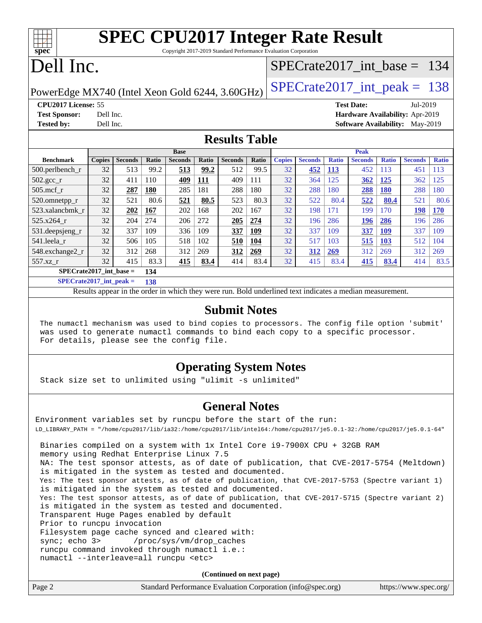|  |                                       | <b>SPEC CPU2017 Integer Rate Result</b> |  |
|--|---------------------------------------|-----------------------------------------|--|
|  |                                       |                                         |  |
|  | $\cdots$ and and $\cdots$ in $\cdots$ |                                         |  |

Copyright 2017-2019 Standard Performance Evaluation Corporation

# Dell Inc.

**[spec](http://www.spec.org/)**

### [SPECrate2017\\_int\\_base =](http://www.spec.org/auto/cpu2017/Docs/result-fields.html#SPECrate2017intbase) 134

PowerEdge MX740 (Intel Xeon Gold 6244, 3.60GHz)  $\left|$  [SPECrate2017\\_int\\_peak =](http://www.spec.org/auto/cpu2017/Docs/result-fields.html#SPECrate2017intpeak) 138

**[CPU2017 License:](http://www.spec.org/auto/cpu2017/Docs/result-fields.html#CPU2017License)** 55 **[Test Date:](http://www.spec.org/auto/cpu2017/Docs/result-fields.html#TestDate)** Jul-2019 **[Test Sponsor:](http://www.spec.org/auto/cpu2017/Docs/result-fields.html#TestSponsor)** Dell Inc. **[Hardware Availability:](http://www.spec.org/auto/cpu2017/Docs/result-fields.html#HardwareAvailability)** Apr-2019 **[Tested by:](http://www.spec.org/auto/cpu2017/Docs/result-fields.html#Testedby)** Dell Inc. **[Software Availability:](http://www.spec.org/auto/cpu2017/Docs/result-fields.html#SoftwareAvailability)** May-2019

### **[Results Table](http://www.spec.org/auto/cpu2017/Docs/result-fields.html#ResultsTable)**

|                           | <b>Base</b>   |                |       |                |       |                | <b>Peak</b> |               |                |              |                |              |                |              |
|---------------------------|---------------|----------------|-------|----------------|-------|----------------|-------------|---------------|----------------|--------------|----------------|--------------|----------------|--------------|
| <b>Benchmark</b>          | <b>Copies</b> | <b>Seconds</b> | Ratio | <b>Seconds</b> | Ratio | <b>Seconds</b> | Ratio       | <b>Copies</b> | <b>Seconds</b> | <b>Ratio</b> | <b>Seconds</b> | <b>Ratio</b> | <b>Seconds</b> | <b>Ratio</b> |
| 500.perlbench_r           | 32            | 513            | 99.2  | 513            | 99.2  | 512            | 99.5        | 32            | 452            | <b>113</b>   | 452            | 113          | 451            | 113          |
| $502.\text{gcc}_r$        | 32            | 411            | 110   | 409            | 111   | 409            | 111         | 32            | 364            | 125          | 362            | 125          | 362            | 125          |
| $505$ .mcf r              | 32            | 287            | 180   | 285            | 181   | 288            | 180         | 32            | 288            | 180          | 288            | <b>180</b>   | 288            | 180          |
| 520.omnetpp_r             | 32            | 521            | 80.6  | 521            | 80.5  | 523            | 80.3        | 32            | 522            | 80.4         | 522            | 80.4         | 521            | 80.6         |
| 523.xalancbmk r           | 32            | 202            | 167   | 202            | 168   | 202            | 167         | 32            | 198            | 171          | 199            | 170          | 198            | <b>170</b>   |
| 525.x264 r                | 32            | 204            | 274   | 206            | 272   | 205            | 274         | 32            | 196            | 286          | 196            | 286          | 196            | 286          |
| 531.deepsjeng_r           | 32            | 337            | 109   | 336            | 109   | 337            | 109         | 32            | 337            | 109          | 337            | <b>109</b>   | 337            | 109          |
| 541.leela r               | 32            | 506            | 105   | 518            | 102   | 510            | 104         | 32            | 517            | 103          | 515            | 103          | 512            | 104          |
| 548.exchange2 r           | 32            | 312            | 268   | 312            | 269   | 312            | 269         | 32            | 312            | 269          | 312            | 269          | 312            | 269          |
| 557.xz r                  | 32            | 415            | 83.3  | 415            | 83.4  | 414            | 83.4        | 32            | 415            | 83.4         | 415            | 83.4         | 414            | 83.5         |
| $SPECrate2017$ int base = |               |                | 134   |                |       |                |             |               |                |              |                |              |                |              |

**[SPECrate2017\\_int\\_peak =](http://www.spec.org/auto/cpu2017/Docs/result-fields.html#SPECrate2017intpeak) 138**

Results appear in the [order in which they were run.](http://www.spec.org/auto/cpu2017/Docs/result-fields.html#RunOrder) Bold underlined text [indicates a median measurement.](http://www.spec.org/auto/cpu2017/Docs/result-fields.html#Median)

### **[Submit Notes](http://www.spec.org/auto/cpu2017/Docs/result-fields.html#SubmitNotes)**

 The numactl mechanism was used to bind copies to processors. The config file option 'submit' was used to generate numactl commands to bind each copy to a specific processor. For details, please see the config file.

### **[Operating System Notes](http://www.spec.org/auto/cpu2017/Docs/result-fields.html#OperatingSystemNotes)**

Stack size set to unlimited using "ulimit -s unlimited"

### **[General Notes](http://www.spec.org/auto/cpu2017/Docs/result-fields.html#GeneralNotes)**

Environment variables set by runcpu before the start of the run: LD\_LIBRARY\_PATH = "/home/cpu2017/lib/ia32:/home/cpu2017/lib/intel64:/home/cpu2017/je5.0.1-32:/home/cpu2017/je5.0.1-64" Binaries compiled on a system with 1x Intel Core i9-7900X CPU + 32GB RAM memory using Redhat Enterprise Linux 7.5 NA: The test sponsor attests, as of date of publication, that CVE-2017-5754 (Meltdown) is mitigated in the system as tested and documented. Yes: The test sponsor attests, as of date of publication, that CVE-2017-5753 (Spectre variant 1) is mitigated in the system as tested and documented. Yes: The test sponsor attests, as of date of publication, that CVE-2017-5715 (Spectre variant 2) is mitigated in the system as tested and documented. Transparent Huge Pages enabled by default Prior to runcpu invocation Filesystem page cache synced and cleared with: sync; echo 3> /proc/sys/vm/drop\_caches runcpu command invoked through numactl i.e.: numactl --interleave=all runcpu <etc>

**(Continued on next page)**

| Page 2 | Standard Performance Evaluation Corporation (info@spec.org) | https://www.spec.org/ |
|--------|-------------------------------------------------------------|-----------------------|
|--------|-------------------------------------------------------------|-----------------------|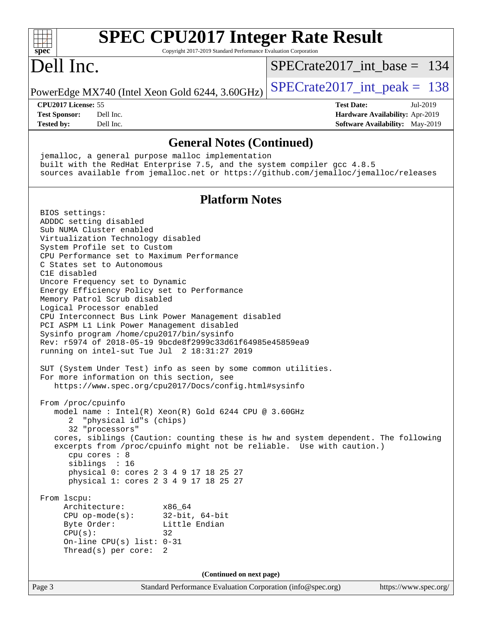| <b>SPEC CPU2017 Integer Rate Result</b><br>spec<br>Copyright 2017-2019 Standard Performance Evaluation Corporation                                              |                                        |
|-----------------------------------------------------------------------------------------------------------------------------------------------------------------|----------------------------------------|
| Dell Inc.                                                                                                                                                       | $SPECrate2017\_int\_base = 134$        |
| PowerEdge MX740 (Intel Xeon Gold 6244, 3.60GHz)                                                                                                                 | $SPECrate2017\_int\_peak = 138$        |
| CPU2017 License: 55                                                                                                                                             | <b>Test Date:</b><br>Jul-2019          |
| <b>Test Sponsor:</b><br>Dell Inc.                                                                                                                               | Hardware Availability: Apr-2019        |
| <b>Tested by:</b><br>Dell Inc.                                                                                                                                  | <b>Software Availability:</b> May-2019 |
| <b>General Notes (Continued)</b>                                                                                                                                |                                        |
| jemalloc, a general purpose malloc implementation                                                                                                               |                                        |
| built with the RedHat Enterprise 7.5, and the system compiler gcc 4.8.5<br>sources available from jemalloc.net or https://github.com/jemalloc/jemalloc/releases |                                        |
| <b>Platform Notes</b>                                                                                                                                           |                                        |
| BIOS settings:                                                                                                                                                  |                                        |
| ADDDC setting disabled                                                                                                                                          |                                        |
| Sub NUMA Cluster enabled                                                                                                                                        |                                        |
| Virtualization Technology disabled                                                                                                                              |                                        |
| System Profile set to Custom<br>CPU Performance set to Maximum Performance                                                                                      |                                        |
| C States set to Autonomous                                                                                                                                      |                                        |
| C1E disabled                                                                                                                                                    |                                        |
| Uncore Frequency set to Dynamic<br>Energy Efficiency Policy set to Performance                                                                                  |                                        |
| Memory Patrol Scrub disabled                                                                                                                                    |                                        |
| Logical Processor enabled                                                                                                                                       |                                        |
| CPU Interconnect Bus Link Power Management disabled<br>PCI ASPM L1 Link Power Management disabled                                                               |                                        |
| Sysinfo program /home/cpu2017/bin/sysinfo                                                                                                                       |                                        |
| Rev: r5974 of 2018-05-19 9bcde8f2999c33d61f64985e45859ea9                                                                                                       |                                        |
| running on intel-sut Tue Jul 2 18:31:27 2019                                                                                                                    |                                        |
| SUT (System Under Test) info as seen by some common utilities.                                                                                                  |                                        |
| For more information on this section, see                                                                                                                       |                                        |
| https://www.spec.org/cpu2017/Docs/config.html#sysinfo                                                                                                           |                                        |
| From /proc/cpuinfo                                                                                                                                              |                                        |
| model name : Intel(R) Xeon(R) Gold 6244 CPU @ 3.60GHz                                                                                                           |                                        |
| "physical id"s (chips)                                                                                                                                          |                                        |
| 32 "processors"                                                                                                                                                 |                                        |
| cores, siblings (Caution: counting these is hw and system dependent. The following<br>excerpts from /proc/cpuinfo might not be reliable. Use with caution.)     |                                        |
| cpu cores : 8                                                                                                                                                   |                                        |
| siblings : 16                                                                                                                                                   |                                        |
| physical 0: cores 2 3 4 9 17 18 25 27<br>physical 1: cores 2 3 4 9 17 18 25 27                                                                                  |                                        |
|                                                                                                                                                                 |                                        |
| From 1scpu:                                                                                                                                                     |                                        |
| Architecture:<br>x86 64<br>$CPU op-mode(s):$<br>$32$ -bit, $64$ -bit                                                                                            |                                        |
| Byte Order:<br>Little Endian                                                                                                                                    |                                        |
| CPU(s):<br>32                                                                                                                                                   |                                        |
| On-line CPU(s) list: $0-31$                                                                                                                                     |                                        |
| Thread(s) per core:<br>2                                                                                                                                        |                                        |
| (Continued on next page)                                                                                                                                        |                                        |
| Page 3<br>Standard Performance Evaluation Corporation (info@spec.org)                                                                                           | https://www.spec.org/                  |
|                                                                                                                                                                 |                                        |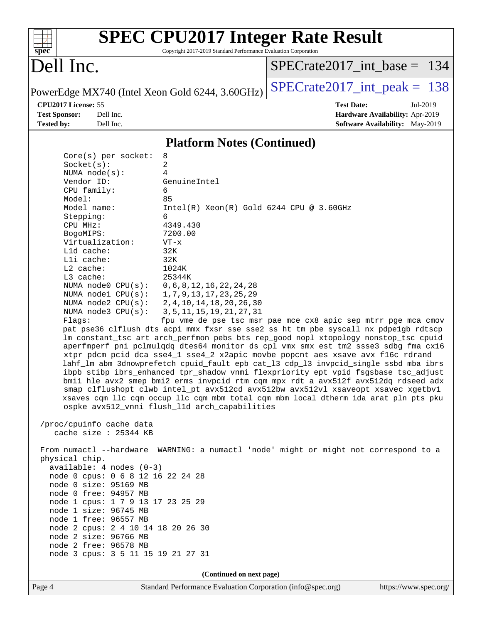| S<br>æ<br>n<br>Ċ. |  |  |  |  |  |
|-------------------|--|--|--|--|--|

Copyright 2017-2019 Standard Performance Evaluation Corporation

# Dell Inc.

[SPECrate2017\\_int\\_base =](http://www.spec.org/auto/cpu2017/Docs/result-fields.html#SPECrate2017intbase) 134

PowerEdge MX740 (Intel Xeon Gold 6244, 3.60GHz)  $\left|$  [SPECrate2017\\_int\\_peak =](http://www.spec.org/auto/cpu2017/Docs/result-fields.html#SPECrate2017intpeak) 138

**[CPU2017 License:](http://www.spec.org/auto/cpu2017/Docs/result-fields.html#CPU2017License)** 55 **[Test Date:](http://www.spec.org/auto/cpu2017/Docs/result-fields.html#TestDate)** Jul-2019

**[Test Sponsor:](http://www.spec.org/auto/cpu2017/Docs/result-fields.html#TestSponsor)** Dell Inc. **[Hardware Availability:](http://www.spec.org/auto/cpu2017/Docs/result-fields.html#HardwareAvailability)** Apr-2019 **[Tested by:](http://www.spec.org/auto/cpu2017/Docs/result-fields.html#Testedby)** Dell Inc. Dell Inc. **[Software Availability:](http://www.spec.org/auto/cpu2017/Docs/result-fields.html#SoftwareAvailability)** May-2019

### **[Platform Notes \(Continued\)](http://www.spec.org/auto/cpu2017/Docs/result-fields.html#PlatformNotes)**

| $Core(s)$ per socket:                                      | 8                                                                                                                                     |  |  |  |  |  |
|------------------------------------------------------------|---------------------------------------------------------------------------------------------------------------------------------------|--|--|--|--|--|
| Socket(s):                                                 | 2                                                                                                                                     |  |  |  |  |  |
| NUMA $node(s):$                                            | $\overline{4}$                                                                                                                        |  |  |  |  |  |
| Vendor ID:                                                 | GenuineIntel                                                                                                                          |  |  |  |  |  |
| CPU family:                                                | 6                                                                                                                                     |  |  |  |  |  |
| Model:<br>Model name:                                      | 85                                                                                                                                    |  |  |  |  |  |
| Stepping:                                                  | $Intel(R) Xeon(R) Gold 6244 CPU @ 3.60GHz$<br>6                                                                                       |  |  |  |  |  |
| CPU MHz:                                                   | 4349.430                                                                                                                              |  |  |  |  |  |
| BogoMIPS:                                                  | 7200.00                                                                                                                               |  |  |  |  |  |
| Virtualization:                                            | $VT - x$                                                                                                                              |  |  |  |  |  |
| L1d cache:                                                 | 32K                                                                                                                                   |  |  |  |  |  |
| Lli cache:                                                 | 32K                                                                                                                                   |  |  |  |  |  |
| $L2$ cache:                                                | 1024K                                                                                                                                 |  |  |  |  |  |
| L3 cache:                                                  | 25344K                                                                                                                                |  |  |  |  |  |
| NUMA node0 CPU(s):                                         | 0, 6, 8, 12, 16, 22, 24, 28                                                                                                           |  |  |  |  |  |
| NUMA $node1$ $CPU(s):$                                     | 1,7,9,13,17,23,25,29                                                                                                                  |  |  |  |  |  |
| NUMA $node2$ $CPU(s):$                                     | 2, 4, 10, 14, 18, 20, 26, 30                                                                                                          |  |  |  |  |  |
| NUMA $node3$ CPU $(s)$ :                                   | 3, 5, 11, 15, 19, 21, 27, 31                                                                                                          |  |  |  |  |  |
| Flags:                                                     | fpu vme de pse tsc msr pae mce cx8 apic sep mtrr pge mca cmov                                                                         |  |  |  |  |  |
|                                                            | pat pse36 clflush dts acpi mmx fxsr sse sse2 ss ht tm pbe syscall nx pdpelgb rdtscp                                                   |  |  |  |  |  |
|                                                            | lm constant_tsc art arch_perfmon pebs bts rep_good nopl xtopology nonstop_tsc cpuid                                                   |  |  |  |  |  |
|                                                            | aperfmperf pni pclmulqdq dtes64 monitor ds_cpl vmx smx est tm2 ssse3 sdbg fma cx16                                                    |  |  |  |  |  |
|                                                            | xtpr pdcm pcid dca sse4_1 sse4_2 x2apic movbe popcnt aes xsave avx f16c rdrand                                                        |  |  |  |  |  |
|                                                            | lahf_lm abm 3dnowprefetch cpuid_fault epb cat_13 cdp_13 invpcid_single ssbd mba ibrs                                                  |  |  |  |  |  |
|                                                            | ibpb stibp ibrs_enhanced tpr_shadow vnmi flexpriority ept vpid fsgsbase tsc_adjust                                                    |  |  |  |  |  |
|                                                            | bmil hle avx2 smep bmi2 erms invpcid rtm cqm mpx rdt_a avx512f avx512dq rdseed adx                                                    |  |  |  |  |  |
|                                                            | smap clflushopt clwb intel_pt avx512cd avx512bw avx512vl xsaveopt xsavec xgetbvl                                                      |  |  |  |  |  |
|                                                            | xsaves cqm_llc cqm_occup_llc cqm_mbm_total cqm_mbm_local dtherm ida arat pln pts pku<br>ospke avx512_vnni flush_l1d arch_capabilities |  |  |  |  |  |
|                                                            |                                                                                                                                       |  |  |  |  |  |
| /proc/cpuinfo cache data                                   |                                                                                                                                       |  |  |  |  |  |
| cache size : $25344$ KB                                    |                                                                                                                                       |  |  |  |  |  |
|                                                            |                                                                                                                                       |  |  |  |  |  |
|                                                            | From numactl --hardware WARNING: a numactl 'node' might or might not correspond to a                                                  |  |  |  |  |  |
| physical chip.<br>$available: 4 nodes (0-3)$               |                                                                                                                                       |  |  |  |  |  |
|                                                            |                                                                                                                                       |  |  |  |  |  |
| node 0 cpus: 0 6 8 12 16 22 24 28<br>node 0 size: 95169 MB |                                                                                                                                       |  |  |  |  |  |
| node 0 free: 94957 MB                                      |                                                                                                                                       |  |  |  |  |  |
| node 1 cpus: 1 7 9 13 17 23 25 29                          |                                                                                                                                       |  |  |  |  |  |
| node 1 size: 96745 MB                                      |                                                                                                                                       |  |  |  |  |  |
| node 1 free: 96557 MB                                      |                                                                                                                                       |  |  |  |  |  |
| node 2 cpus: 2 4 10 14 18 20 26 30                         |                                                                                                                                       |  |  |  |  |  |
| node 2 size: 96766 MB                                      |                                                                                                                                       |  |  |  |  |  |
| node 2 free: 96578 MB                                      |                                                                                                                                       |  |  |  |  |  |
| node 3 cpus: 3 5 11 15 19 21 27 31                         |                                                                                                                                       |  |  |  |  |  |
|                                                            |                                                                                                                                       |  |  |  |  |  |
| (Continued on next page)                                   |                                                                                                                                       |  |  |  |  |  |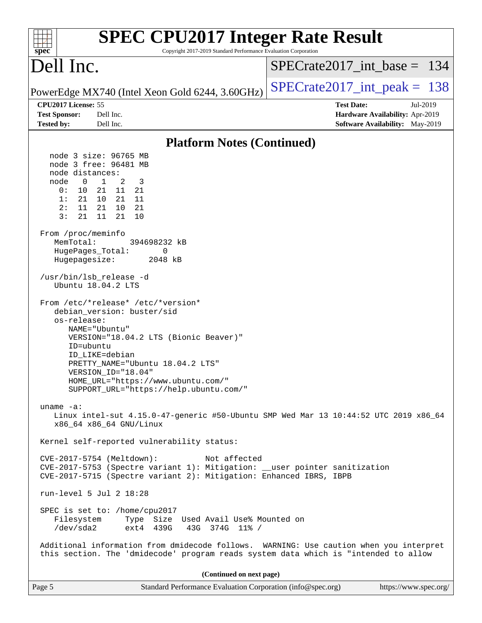| <b>SPEC CPU2017 Integer Rate Result</b><br>Copyright 2017-2019 Standard Performance Evaluation Corporation<br>spec <sup>®</sup>                                                                                                                                                                                                                                                                                                                                                                                                                                                                                                                                                                                                                                                                                                                                                                                                                                                                                                                                                                                                                                                                                                                                                                                                                                       |                                                                  |
|-----------------------------------------------------------------------------------------------------------------------------------------------------------------------------------------------------------------------------------------------------------------------------------------------------------------------------------------------------------------------------------------------------------------------------------------------------------------------------------------------------------------------------------------------------------------------------------------------------------------------------------------------------------------------------------------------------------------------------------------------------------------------------------------------------------------------------------------------------------------------------------------------------------------------------------------------------------------------------------------------------------------------------------------------------------------------------------------------------------------------------------------------------------------------------------------------------------------------------------------------------------------------------------------------------------------------------------------------------------------------|------------------------------------------------------------------|
| Dell Inc.                                                                                                                                                                                                                                                                                                                                                                                                                                                                                                                                                                                                                                                                                                                                                                                                                                                                                                                                                                                                                                                                                                                                                                                                                                                                                                                                                             | $SPECrate2017\_int\_base = 134$                                  |
| PowerEdge MX740 (Intel Xeon Gold 6244, 3.60GHz)                                                                                                                                                                                                                                                                                                                                                                                                                                                                                                                                                                                                                                                                                                                                                                                                                                                                                                                                                                                                                                                                                                                                                                                                                                                                                                                       | $SPECrate2017\_int\_peak = 138$                                  |
| CPU2017 License: 55<br>Dell Inc.<br><b>Test Sponsor:</b>                                                                                                                                                                                                                                                                                                                                                                                                                                                                                                                                                                                                                                                                                                                                                                                                                                                                                                                                                                                                                                                                                                                                                                                                                                                                                                              | <b>Test Date:</b><br>Jul-2019<br>Hardware Availability: Apr-2019 |
| Dell Inc.<br><b>Tested by:</b>                                                                                                                                                                                                                                                                                                                                                                                                                                                                                                                                                                                                                                                                                                                                                                                                                                                                                                                                                                                                                                                                                                                                                                                                                                                                                                                                        | Software Availability: May-2019                                  |
| <b>Platform Notes (Continued)</b>                                                                                                                                                                                                                                                                                                                                                                                                                                                                                                                                                                                                                                                                                                                                                                                                                                                                                                                                                                                                                                                                                                                                                                                                                                                                                                                                     |                                                                  |
| node 3 size: 96765 MB<br>node 3 free: 96481 MB<br>node distances:<br>node<br>$\overline{1}$<br>$\overline{0}$<br>2<br>3<br>0:<br>10<br>11<br>21<br>21<br>1:<br>21<br>10<br>21 11<br>2:<br>11<br>21<br>10<br>21<br>3:<br>21<br>11<br>21<br>10<br>From /proc/meminfo<br>MemTotal:<br>394698232 kB<br>0<br>HugePages_Total:<br>Hugepagesize:<br>2048 kB<br>/usr/bin/lsb_release -d<br>Ubuntu 18.04.2 LTS<br>From /etc/*release* /etc/*version*<br>debian_version: buster/sid<br>os-release:<br>NAME="Ubuntu"<br>VERSION="18.04.2 LTS (Bionic Beaver)"<br>ID=ubuntu<br>ID LIKE=debian<br>PRETTY_NAME="Ubuntu 18.04.2 LTS"<br>VERSION ID="18.04"<br>HOME_URL="https://www.ubuntu.com/"<br>SUPPORT_URL="https://help.ubuntu.com/"<br>uname $-a$ :<br>Linux intel-sut 4.15.0-47-generic #50-Ubuntu SMP Wed Mar 13 10:44:52 UTC 2019 x86_64<br>x86 64 x86 64 GNU/Linux<br>Kernel self-reported vulnerability status:<br>CVE-2017-5754 (Meltdown):<br>Not affected<br>CVE-2017-5753 (Spectre variant 1): Mitigation: __user pointer sanitization<br>CVE-2017-5715 (Spectre variant 2): Mitigation: Enhanced IBRS, IBPB<br>run-level 5 Jul 2 18:28<br>SPEC is set to: /home/cpu2017<br>Type Size Used Avail Use% Mounted on<br>Filesystem<br>/dev/sda2<br>ext4 439G<br>43G 374G 11% /<br>Additional information from dmidecode follows. WARNING: Use caution when you interpret |                                                                  |
| this section. The 'dmidecode' program reads system data which is "intended to allow                                                                                                                                                                                                                                                                                                                                                                                                                                                                                                                                                                                                                                                                                                                                                                                                                                                                                                                                                                                                                                                                                                                                                                                                                                                                                   |                                                                  |
| (Continued on next page)                                                                                                                                                                                                                                                                                                                                                                                                                                                                                                                                                                                                                                                                                                                                                                                                                                                                                                                                                                                                                                                                                                                                                                                                                                                                                                                                              |                                                                  |
| Page 5<br>Standard Performance Evaluation Corporation (info@spec.org)                                                                                                                                                                                                                                                                                                                                                                                                                                                                                                                                                                                                                                                                                                                                                                                                                                                                                                                                                                                                                                                                                                                                                                                                                                                                                                 | https://www.spec.org/                                            |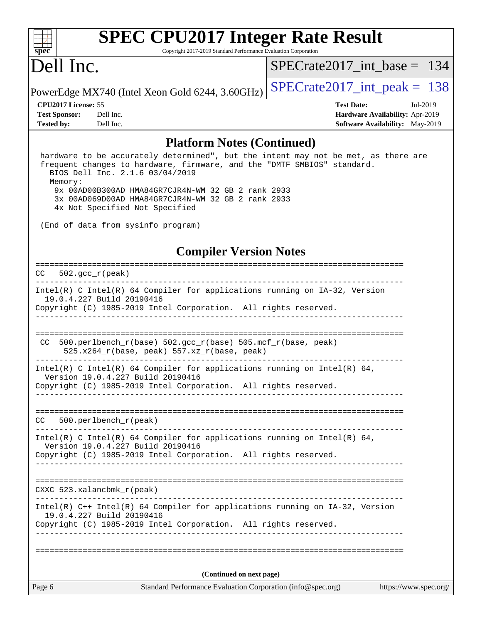

Copyright 2017-2019 Standard Performance Evaluation Corporation

## Dell Inc.

[SPECrate2017\\_int\\_base =](http://www.spec.org/auto/cpu2017/Docs/result-fields.html#SPECrate2017intbase) 134

**[Tested by:](http://www.spec.org/auto/cpu2017/Docs/result-fields.html#Testedby)** Dell Inc. **[Software Availability:](http://www.spec.org/auto/cpu2017/Docs/result-fields.html#SoftwareAvailability)** May-2019

PowerEdge MX740 (Intel Xeon Gold 6244, 3.60GHz)  $\left|$  [SPECrate2017\\_int\\_peak =](http://www.spec.org/auto/cpu2017/Docs/result-fields.html#SPECrate2017intpeak) 138

**[CPU2017 License:](http://www.spec.org/auto/cpu2017/Docs/result-fields.html#CPU2017License)** 55 **[Test Date:](http://www.spec.org/auto/cpu2017/Docs/result-fields.html#TestDate)** Jul-2019 **[Test Sponsor:](http://www.spec.org/auto/cpu2017/Docs/result-fields.html#TestSponsor)** Dell Inc. **[Hardware Availability:](http://www.spec.org/auto/cpu2017/Docs/result-fields.html#HardwareAvailability)** Apr-2019

### **[Platform Notes \(Continued\)](http://www.spec.org/auto/cpu2017/Docs/result-fields.html#PlatformNotes)**

 hardware to be accurately determined", but the intent may not be met, as there are frequent changes to hardware, firmware, and the "DMTF SMBIOS" standard. BIOS Dell Inc. 2.1.6 03/04/2019 Memory: 9x 00AD00B300AD HMA84GR7CJR4N-WM 32 GB 2 rank 2933 3x 00AD069D00AD HMA84GR7CJR4N-WM 32 GB 2 rank 2933 4x Not Specified Not Specified

(End of data from sysinfo program)

### **[Compiler Version Notes](http://www.spec.org/auto/cpu2017/Docs/result-fields.html#CompilerVersionNotes)**

| $CC = 502 \cdot \text{gcc}_r(\text{peak})$                                                                                                                                       |                       |
|----------------------------------------------------------------------------------------------------------------------------------------------------------------------------------|-----------------------|
| Intel(R) C Intel(R) 64 Compiler for applications running on $IA-32$ , Version<br>19.0.4.227 Build 20190416                                                                       |                       |
| Copyright (C) 1985-2019 Intel Corporation. All rights reserved.<br>______________________________________                                                                        |                       |
| CC 500.perlbench_r(base) 502.gcc_r(base) 505.mcf_r(base, peak)<br>525.x264_r(base, peak) 557.xz_r(base, peak)                                                                    |                       |
| Intel(R) C Intel(R) 64 Compiler for applications running on Intel(R) 64,<br>Version 19.0.4.227 Build 20190416<br>Copyright (C) 1985-2019 Intel Corporation. All rights reserved. |                       |
| $500. perlbench_r (peak)$<br>CC                                                                                                                                                  |                       |
| Intel(R) C Intel(R) 64 Compiler for applications running on Intel(R) 64,<br>Version 19.0.4.227 Build 20190416<br>Copyright (C) 1985-2019 Intel Corporation. All rights reserved. |                       |
| CXXC 523.xalancbmk_r(peak)                                                                                                                                                       |                       |
| Intel(R) C++ Intel(R) 64 Compiler for applications running on IA-32, Version<br>19.0.4.227 Build 20190416<br>Copyright (C) 1985-2019 Intel Corporation. All rights reserved.     |                       |
| (Continued on next page)                                                                                                                                                         |                       |
| Standard Performance Evaluation Corporation (info@spec.org)<br>Page 6                                                                                                            | https://www.spec.org/ |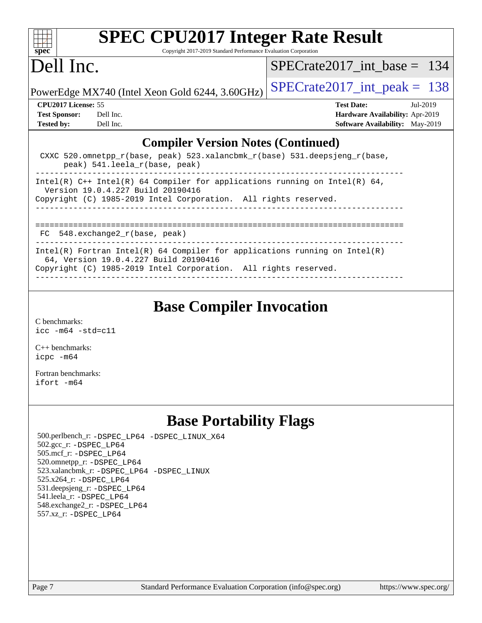

Copyright 2017-2019 Standard Performance Evaluation Corporation

## Dell Inc.

[SPECrate2017\\_int\\_base =](http://www.spec.org/auto/cpu2017/Docs/result-fields.html#SPECrate2017intbase) 134

PowerEdge MX740 (Intel Xeon Gold 6244, 3.60GHz)  $\left|$  [SPECrate2017\\_int\\_peak =](http://www.spec.org/auto/cpu2017/Docs/result-fields.html#SPECrate2017intpeak) 138

**[CPU2017 License:](http://www.spec.org/auto/cpu2017/Docs/result-fields.html#CPU2017License)** 55 **[Test Date:](http://www.spec.org/auto/cpu2017/Docs/result-fields.html#TestDate)** Jul-2019 **[Test Sponsor:](http://www.spec.org/auto/cpu2017/Docs/result-fields.html#TestSponsor)** Dell Inc. **[Hardware Availability:](http://www.spec.org/auto/cpu2017/Docs/result-fields.html#HardwareAvailability)** Apr-2019 **[Tested by:](http://www.spec.org/auto/cpu2017/Docs/result-fields.html#Testedby)** Dell Inc. **[Software Availability:](http://www.spec.org/auto/cpu2017/Docs/result-fields.html#SoftwareAvailability)** May-2019

### **[Compiler Version Notes \(Continued\)](http://www.spec.org/auto/cpu2017/Docs/result-fields.html#CompilerVersionNotes)**

| CXXC 520.omnetpp $r(base, peak)$ 523.xalancbmk $r(base)$ 531.deepsjeng $r(base)$ ,<br>peak) 541. leela r(base, peak)                                                                   |  |  |  |  |
|----------------------------------------------------------------------------------------------------------------------------------------------------------------------------------------|--|--|--|--|
| Intel(R) $C++$ Intel(R) 64 Compiler for applications running on Intel(R) 64,<br>Version 19.0.4.227 Build 20190416                                                                      |  |  |  |  |
| Copyright (C) 1985-2019 Intel Corporation. All rights reserved.                                                                                                                        |  |  |  |  |
|                                                                                                                                                                                        |  |  |  |  |
| FC 548.exchange2_r(base, peak)                                                                                                                                                         |  |  |  |  |
| Intel(R) Fortran Intel(R) 64 Compiler for applications running on Intel(R)<br>64, Version 19.0.4.227 Build 20190416<br>Copyright (C) 1985-2019 Intel Corporation. All rights reserved. |  |  |  |  |

------------------------------------------------------------------------------

## **[Base Compiler Invocation](http://www.spec.org/auto/cpu2017/Docs/result-fields.html#BaseCompilerInvocation)**

[C benchmarks](http://www.spec.org/auto/cpu2017/Docs/result-fields.html#Cbenchmarks): [icc -m64 -std=c11](http://www.spec.org/cpu2017/results/res2019q3/cpu2017-20190722-16252.flags.html#user_CCbase_intel_icc_64bit_c11_33ee0cdaae7deeeab2a9725423ba97205ce30f63b9926c2519791662299b76a0318f32ddfffdc46587804de3178b4f9328c46fa7c2b0cd779d7a61945c91cd35)

[C++ benchmarks:](http://www.spec.org/auto/cpu2017/Docs/result-fields.html#CXXbenchmarks) [icpc -m64](http://www.spec.org/cpu2017/results/res2019q3/cpu2017-20190722-16252.flags.html#user_CXXbase_intel_icpc_64bit_4ecb2543ae3f1412ef961e0650ca070fec7b7afdcd6ed48761b84423119d1bf6bdf5cad15b44d48e7256388bc77273b966e5eb805aefd121eb22e9299b2ec9d9)

[Fortran benchmarks](http://www.spec.org/auto/cpu2017/Docs/result-fields.html#Fortranbenchmarks): [ifort -m64](http://www.spec.org/cpu2017/results/res2019q3/cpu2017-20190722-16252.flags.html#user_FCbase_intel_ifort_64bit_24f2bb282fbaeffd6157abe4f878425411749daecae9a33200eee2bee2fe76f3b89351d69a8130dd5949958ce389cf37ff59a95e7a40d588e8d3a57e0c3fd751)

## **[Base Portability Flags](http://www.spec.org/auto/cpu2017/Docs/result-fields.html#BasePortabilityFlags)**

 500.perlbench\_r: [-DSPEC\\_LP64](http://www.spec.org/cpu2017/results/res2019q3/cpu2017-20190722-16252.flags.html#b500.perlbench_r_basePORTABILITY_DSPEC_LP64) [-DSPEC\\_LINUX\\_X64](http://www.spec.org/cpu2017/results/res2019q3/cpu2017-20190722-16252.flags.html#b500.perlbench_r_baseCPORTABILITY_DSPEC_LINUX_X64) 502.gcc\_r: [-DSPEC\\_LP64](http://www.spec.org/cpu2017/results/res2019q3/cpu2017-20190722-16252.flags.html#suite_basePORTABILITY502_gcc_r_DSPEC_LP64) 505.mcf\_r: [-DSPEC\\_LP64](http://www.spec.org/cpu2017/results/res2019q3/cpu2017-20190722-16252.flags.html#suite_basePORTABILITY505_mcf_r_DSPEC_LP64) 520.omnetpp\_r: [-DSPEC\\_LP64](http://www.spec.org/cpu2017/results/res2019q3/cpu2017-20190722-16252.flags.html#suite_basePORTABILITY520_omnetpp_r_DSPEC_LP64) 523.xalancbmk\_r: [-DSPEC\\_LP64](http://www.spec.org/cpu2017/results/res2019q3/cpu2017-20190722-16252.flags.html#suite_basePORTABILITY523_xalancbmk_r_DSPEC_LP64) [-DSPEC\\_LINUX](http://www.spec.org/cpu2017/results/res2019q3/cpu2017-20190722-16252.flags.html#b523.xalancbmk_r_baseCXXPORTABILITY_DSPEC_LINUX) 525.x264\_r: [-DSPEC\\_LP64](http://www.spec.org/cpu2017/results/res2019q3/cpu2017-20190722-16252.flags.html#suite_basePORTABILITY525_x264_r_DSPEC_LP64) 531.deepsjeng\_r: [-DSPEC\\_LP64](http://www.spec.org/cpu2017/results/res2019q3/cpu2017-20190722-16252.flags.html#suite_basePORTABILITY531_deepsjeng_r_DSPEC_LP64) 541.leela\_r: [-DSPEC\\_LP64](http://www.spec.org/cpu2017/results/res2019q3/cpu2017-20190722-16252.flags.html#suite_basePORTABILITY541_leela_r_DSPEC_LP64) 548.exchange2\_r: [-DSPEC\\_LP64](http://www.spec.org/cpu2017/results/res2019q3/cpu2017-20190722-16252.flags.html#suite_basePORTABILITY548_exchange2_r_DSPEC_LP64) 557.xz\_r: [-DSPEC\\_LP64](http://www.spec.org/cpu2017/results/res2019q3/cpu2017-20190722-16252.flags.html#suite_basePORTABILITY557_xz_r_DSPEC_LP64)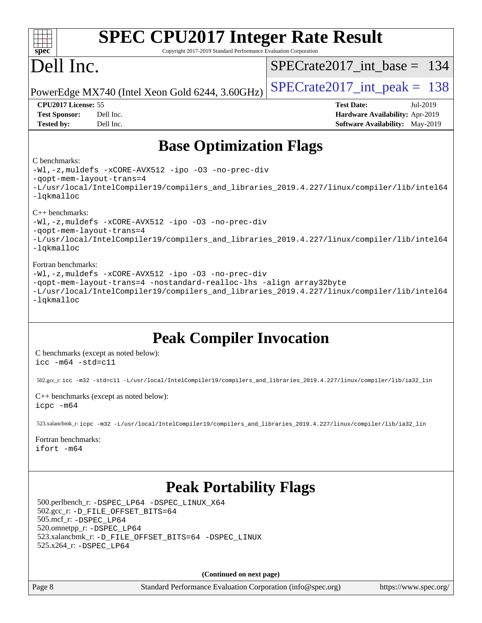| <b>SPEC CPU2017 Integer Rate Result</b><br>Copyright 2017-2019 Standard Performance Evaluation Corporation<br>spec <sup>®</sup>                                                                                                                                                                                                                                                                                                                          |                                                                                                     |
|----------------------------------------------------------------------------------------------------------------------------------------------------------------------------------------------------------------------------------------------------------------------------------------------------------------------------------------------------------------------------------------------------------------------------------------------------------|-----------------------------------------------------------------------------------------------------|
| Dell Inc.                                                                                                                                                                                                                                                                                                                                                                                                                                                | $SPECrate2017\_int\_base = 134$                                                                     |
| PowerEdge MX740 (Intel Xeon Gold 6244, 3.60GHz)                                                                                                                                                                                                                                                                                                                                                                                                          | $SPECrate2017\_int\_peak = 138$                                                                     |
| CPU2017 License: 55<br>Dell Inc.<br><b>Test Sponsor:</b><br><b>Tested by:</b><br>Dell Inc.                                                                                                                                                                                                                                                                                                                                                               | <b>Test Date:</b><br>Jul-2019<br>Hardware Availability: Apr-2019<br>Software Availability: May-2019 |
| <b>Base Optimization Flags</b>                                                                                                                                                                                                                                                                                                                                                                                                                           |                                                                                                     |
| C benchmarks:<br>-Wl,-z, muldefs -xCORE-AVX512 -ipo -03 -no-prec-div<br>-qopt-mem-layout-trans=4<br>-L/usr/local/IntelCompiler19/compilers_and_libraries_2019.4.227/linux/compiler/lib/intel64<br>-lqkmalloc<br>$C++$ benchmarks:                                                                                                                                                                                                                        |                                                                                                     |
| -Wl,-z, muldefs -xCORE-AVX512 -ipo -03 -no-prec-div<br>-qopt-mem-layout-trans=4<br>-L/usr/local/IntelCompiler19/compilers_and_libraries_2019.4.227/linux/compiler/lib/intel64<br>-lqkmalloc                                                                                                                                                                                                                                                              |                                                                                                     |
| Fortran benchmarks:<br>-Wl,-z, muldefs -xCORE-AVX512 -ipo -03 -no-prec-div<br>-qopt-mem-layout-trans=4 -nostandard-realloc-lhs -align array32byte<br>-L/usr/local/IntelCompiler19/compilers_and_libraries_2019.4.227/linux/compiler/lib/intel64<br>-lqkmalloc                                                                                                                                                                                            |                                                                                                     |
| <b>Peak Compiler Invocation</b><br>C benchmarks (except as noted below):<br>$\text{icc}$ -m64 -std=c11<br>502.gcc_r:icc -m32 -std=c11 -L/usr/local/IntelCompiler19/compilers_and_libraries_2019.4.227/linux/compiler/lib/ia32_lin<br>C++ benchmarks (except as noted below):<br>icpc -m64<br>523.xalancbmk_r: icpc -m32 -L/usr/local/IntelCompiler19/compilers_and_libraries_2019.4.227/linux/compiler/lib/ia32_lin<br>Fortran benchmarks:<br>ifort -m64 |                                                                                                     |
| <b>Peak Portability Flags</b><br>500.perlbench_r: -DSPEC_LP64 -DSPEC_LINUX_X64<br>502.gcc_r: -D_FILE_OFFSET_BITS=64<br>505.mcf_r: -DSPEC LP64<br>520.omnetpp_r: -DSPEC_LP64<br>523.xalancbmk_r: -D_FILE_OFFSET_BITS=64 -DSPEC_LINUX<br>525.x264_r: -DSPEC_LP64                                                                                                                                                                                           |                                                                                                     |
| (Continued on next page)                                                                                                                                                                                                                                                                                                                                                                                                                                 |                                                                                                     |
| Page 8<br>Standard Performance Evaluation Corporation (info@spec.org)                                                                                                                                                                                                                                                                                                                                                                                    | https://www.spec.org/                                                                               |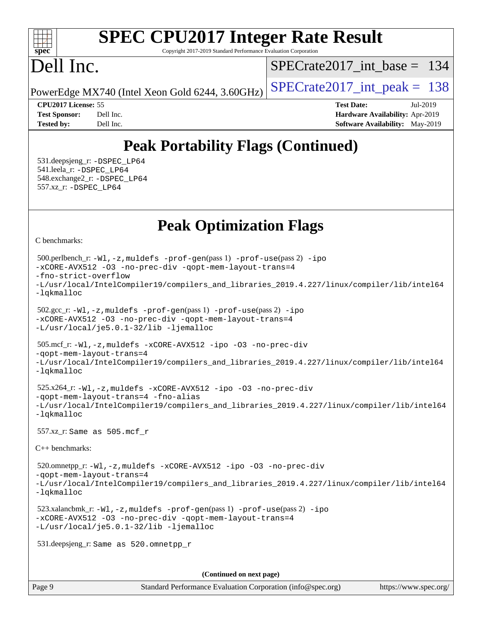### $+\ +$ **[spec](http://www.spec.org/)**

# **[SPEC CPU2017 Integer Rate Result](http://www.spec.org/auto/cpu2017/Docs/result-fields.html#SPECCPU2017IntegerRateResult)**

Copyright 2017-2019 Standard Performance Evaluation Corporation

# Dell Inc.

[SPECrate2017\\_int\\_base =](http://www.spec.org/auto/cpu2017/Docs/result-fields.html#SPECrate2017intbase) 134

PowerEdge MX740 (Intel Xeon Gold 6244, 3.60GHz)  $\left|$  [SPECrate2017\\_int\\_peak =](http://www.spec.org/auto/cpu2017/Docs/result-fields.html#SPECrate2017intpeak) 138

**[CPU2017 License:](http://www.spec.org/auto/cpu2017/Docs/result-fields.html#CPU2017License)** 55 **[Test Date:](http://www.spec.org/auto/cpu2017/Docs/result-fields.html#TestDate)** Jul-2019 **[Test Sponsor:](http://www.spec.org/auto/cpu2017/Docs/result-fields.html#TestSponsor)** Dell Inc. **[Hardware Availability:](http://www.spec.org/auto/cpu2017/Docs/result-fields.html#HardwareAvailability)** Apr-2019 **[Tested by:](http://www.spec.org/auto/cpu2017/Docs/result-fields.html#Testedby)** Dell Inc. **[Software Availability:](http://www.spec.org/auto/cpu2017/Docs/result-fields.html#SoftwareAvailability)** May-2019

## **[Peak Portability Flags \(Continued\)](http://www.spec.org/auto/cpu2017/Docs/result-fields.html#PeakPortabilityFlags)**

 531.deepsjeng\_r: [-DSPEC\\_LP64](http://www.spec.org/cpu2017/results/res2019q3/cpu2017-20190722-16252.flags.html#suite_peakPORTABILITY531_deepsjeng_r_DSPEC_LP64) 541.leela\_r: [-DSPEC\\_LP64](http://www.spec.org/cpu2017/results/res2019q3/cpu2017-20190722-16252.flags.html#suite_peakPORTABILITY541_leela_r_DSPEC_LP64) 548.exchange2\_r: [-DSPEC\\_LP64](http://www.spec.org/cpu2017/results/res2019q3/cpu2017-20190722-16252.flags.html#suite_peakPORTABILITY548_exchange2_r_DSPEC_LP64) 557.xz\_r: [-DSPEC\\_LP64](http://www.spec.org/cpu2017/results/res2019q3/cpu2017-20190722-16252.flags.html#suite_peakPORTABILITY557_xz_r_DSPEC_LP64)

## **[Peak Optimization Flags](http://www.spec.org/auto/cpu2017/Docs/result-fields.html#PeakOptimizationFlags)**

[C benchmarks](http://www.spec.org/auto/cpu2017/Docs/result-fields.html#Cbenchmarks):

```
(info@spec.org)https://www.spec.org/
  500.perlbench_r: -Wl,-z,muldefs -prof-gen(pass 1) -prof-use(pass 2) -ipo
-xCORE-AVX512 -O3 -no-prec-div -qopt-mem-layout-trans=4
-fno-strict-overflow
-L/usr/local/IntelCompiler19/compilers_and_libraries_2019.4.227/linux/compiler/lib/intel64
-lqkmalloc
  502.gcc_r: -Wl,-z,muldefs -prof-gen(pass 1) -prof-use(pass 2) -ipo
-xCORE-AVX512 -O3 -no-prec-div -qopt-mem-layout-trans=4
-L/usr/local/je5.0.1-32/lib -ljemalloc
  505.mcf_r: -Wl,-z,muldefs -xCORE-AVX512 -ipo -O3 -no-prec-div
-qopt-mem-layout-trans=4
-L/usr/local/IntelCompiler19/compilers_and_libraries_2019.4.227/linux/compiler/lib/intel64
-lqkmalloc
  525.x264_r: -Wl,-z,muldefs -xCORE-AVX512 -ipo -O3 -no-prec-div
-qopt-mem-layout-trans=4 -fno-alias
-L/usr/local/IntelCompiler19/compilers_and_libraries_2019.4.227/linux/compiler/lib/intel64
-lqkmalloc
  557.xz_r: Same as 505.mcf_r
C++ benchmarks: 
  520.omnetpp_r: -Wl,-z,muldefs -xCORE-AVX512 -ipo -O3 -no-prec-div
-qopt-mem-layout-trans=4
-L/usr/local/IntelCompiler19/compilers_and_libraries_2019.4.227/linux/compiler/lib/intel64
-lqkmalloc
  523.xalancbmk_r: -Wl,-z,muldefs -prof-gen(pass 1) -prof-use(pass 2) -ipo
-xCORE-AVX512 -O3 -no-prec-div -qopt-mem-layout-trans=4
-L/usr/local/je5.0.1-32/lib -ljemalloc
  531.deepsjeng_r: Same as 520.omnetpp_r
                                     (Continued on next page)
```